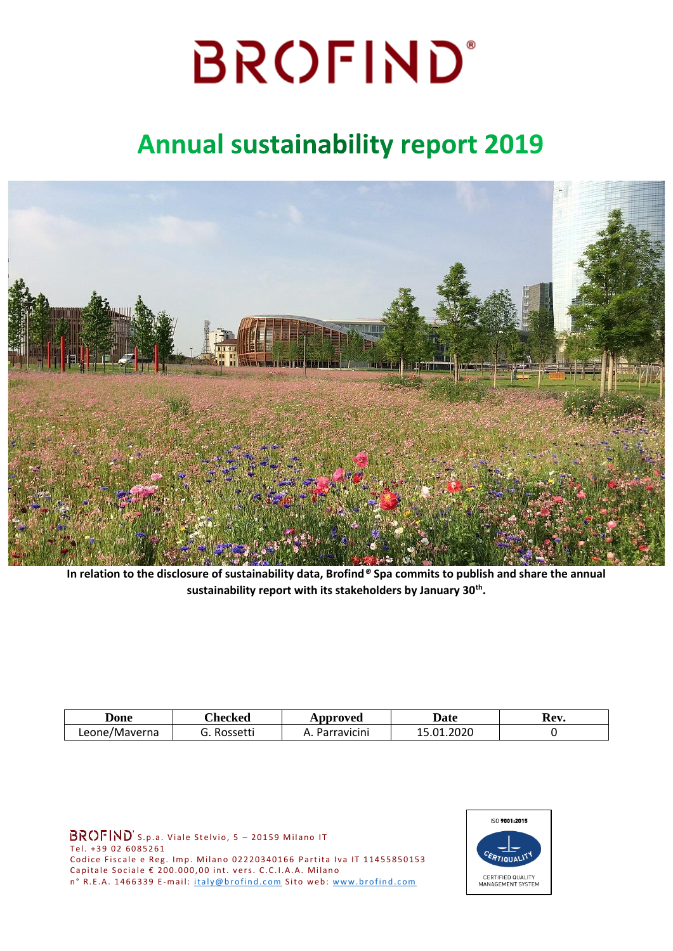### **Annual sustainability report 2019**



**In relation to the disclosure of sustainability data, Brofind***®* **Spa commits to publish and share the annual sustainability report with its stakeholders by January 30th .**

| Done          | <b>Thecked</b> | Approved          | Date         | Rev. |  |
|---------------|----------------|-------------------|--------------|------|--|
| Leone/Maverna | Rossetti       | Parravicini<br>∽. | .2020<br>.n1 |      |  |

 $BROFIND^s$ s.p.a. Viale Stelvio, 5 - 20159 Milano IT Tel. +39 02 6085261 Codice Fiscale e Reg. Imp. Milano 02220340166 Partita Iva IT 11455850153 Capitale Sociale  $\epsilon$  200.000,00 int. vers. C.C.I.A.A. Milano n° R.E.A. 1466339 E-mail: italy@brofind.com Sito web: www.brofind.com

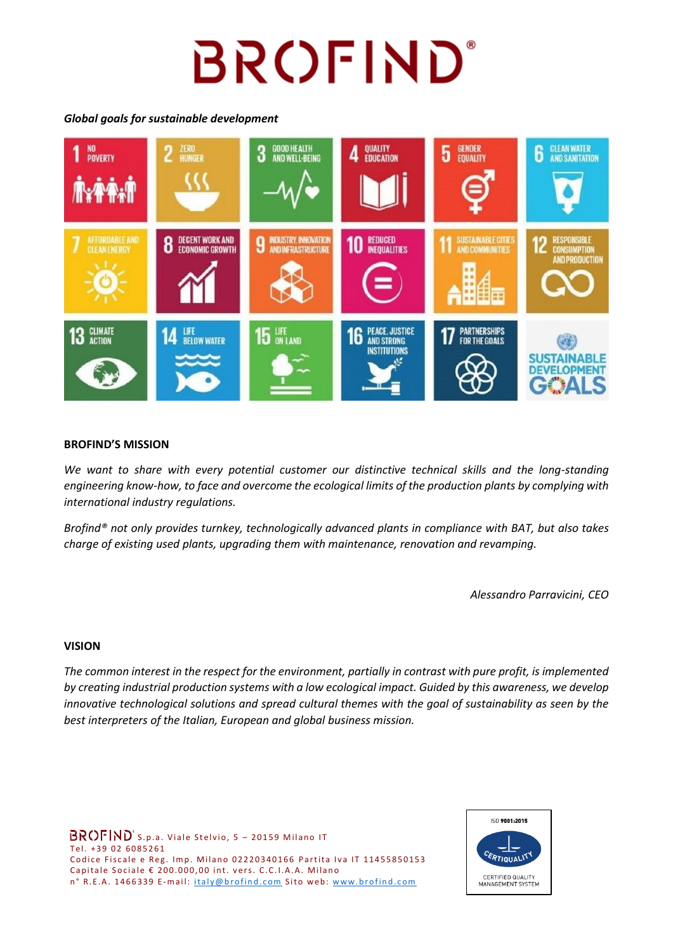### *Global goals for sustainable development*



### **BROFIND'S MISSION**

*We want to share with every potential customer our distinctive technical skills and the long-standing engineering know-how, to face and overcome the ecological limits of the production plants by complying with international industry regulations.*

*Brofind® not only provides turnkey, technologically advanced plants in compliance with BAT, but also takes charge of existing used plants, upgrading them with maintenance, renovation and revamping.*

*Alessandro Parravicini, CEO*

### **VISION**

*The common interest in the respect for the environment, partially in contrast with pure profit, is implemented by creating industrial production systems with a low ecological impact. Guided by this awareness, we develop innovative technological solutions and spread cultural themes with the goal of sustainability as seen by the best interpreters of the Italian, European and global business mission.*

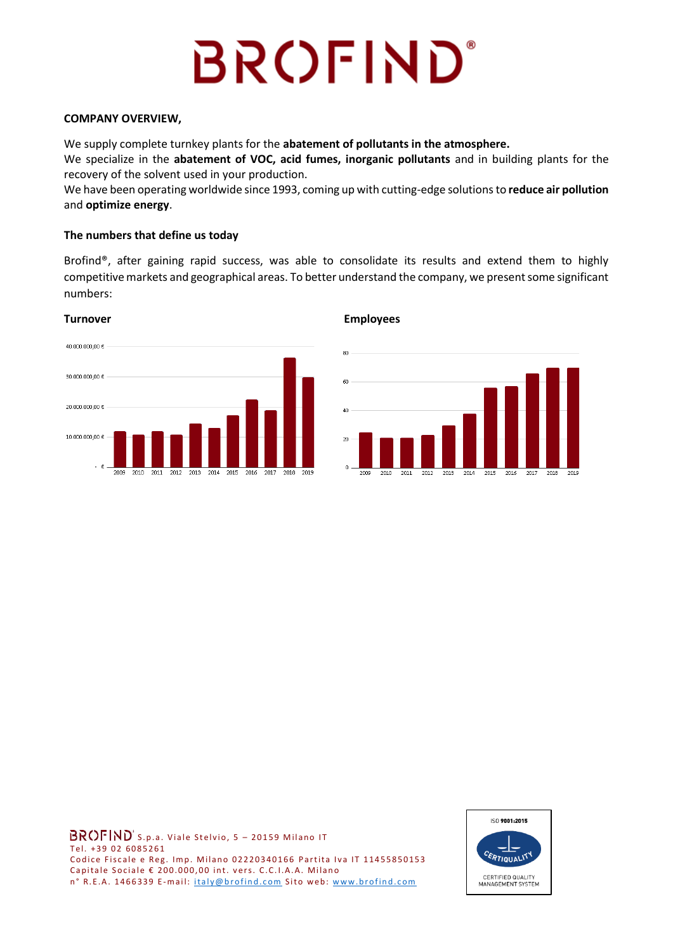### **COMPANY OVERVIEW,**

We supply complete turnkey plants for the **abatement of pollutants in the atmosphere.**

We specialize in the **abatement of VOC, acid fumes, inorganic pollutants** and in building plants for the recovery of the solvent used in your production.

We have been operating worldwide since 1993, coming up with cutting-edge solutionsto **reduce air pollution** and **optimize energy**.

### **The numbers that define us today**

Brofind®, after gaining rapid success, was able to consolidate its results and extend them to highly competitive markets and geographical areas. To better understand the company, we present some significant numbers:





### **Turnover Employees**



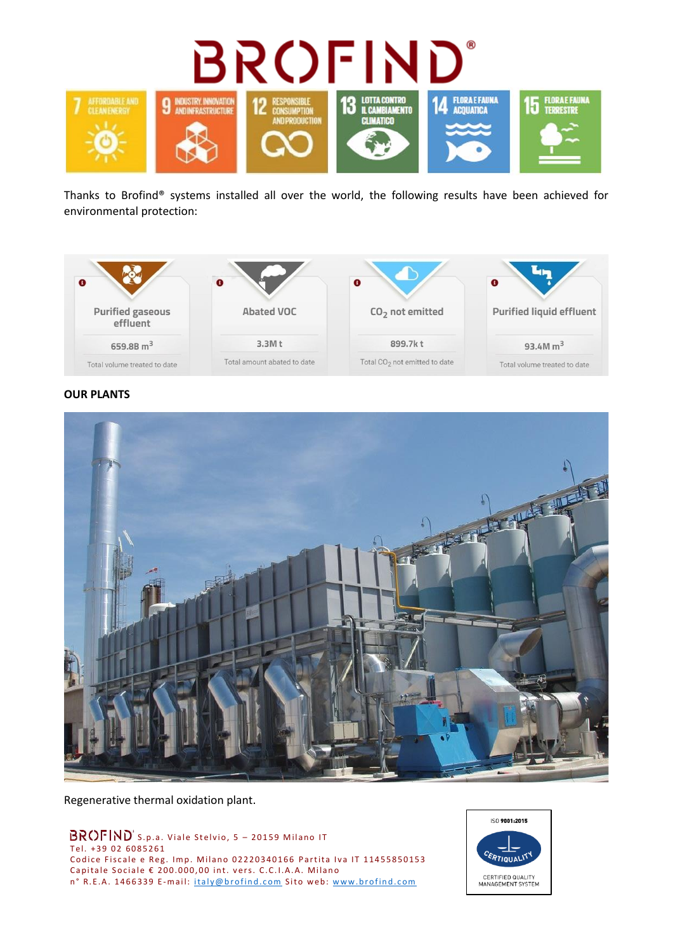

Thanks to Brofind® systems installed all over the world, the following results have been achieved for environmental protection:



### **OUR PLANTS**



Regenerative thermal oxidation plant.

 $BROFIND^s$ s.p.a. Viale Stelvio, 5 - 20159 Milano IT Tel. +39 02 6085261 Codice Fiscale e Reg. Imp. Milano 02220340166 Partita Iva IT 11455850153 Capitale Sociale  $\epsilon$  200.000,00 int. vers. C.C.I.A.A. Milano n° R.E.A. 1466339 E-mail: italy@brofind.com Sito web: www.brofind.com

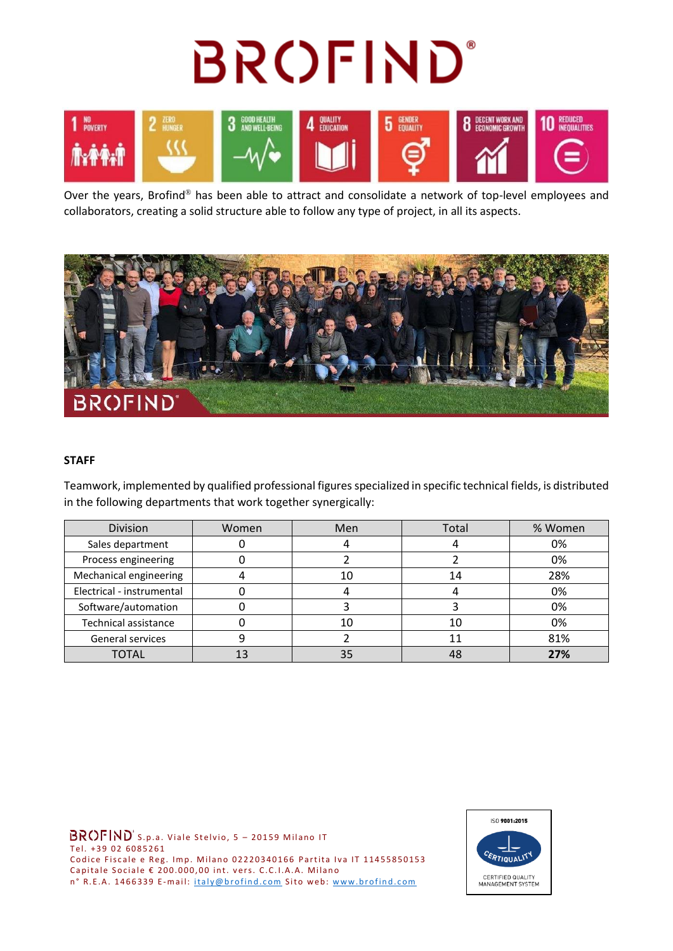

Over the years, Brofind® has been able to attract and consolidate a network of top-level employees and collaborators, creating a solid structure able to follow any type of project, in all its aspects.



### **STAFF**

Teamwork, implemented by qualified professional figures specialized in specific technical fields, is distributed in the following departments that work together synergically:

| Division                  | Women | Men | Total | % Women |  |
|---------------------------|-------|-----|-------|---------|--|
| Sales department          |       |     |       | 0%      |  |
| Process engineering       |       |     |       | 0%      |  |
| Mechanical engineering    |       | 10  | 14    | 28%     |  |
| Electrical - instrumental |       |     |       | 0%      |  |
| Software/automation       |       |     |       | 0%      |  |
| Technical assistance      |       | 10  | 10    | 0%      |  |
| <b>General services</b>   |       |     |       | 81%     |  |
| <b>TOTAL</b>              |       | 35  |       | 27%     |  |

 $BROFIND^s$ s.p.a. Viale Stelvio, 5 - 20159 Milano IT Tel. +39 02 6085261 Codice Fiscale e Reg. Imp. Milano 02220340166 Partita Iva IT 11455850153 Capitale Sociale  $\epsilon$  200.000,00 int. vers. C.C.I.A.A. Milano n° R.E.A. 1466339 E-mail: italy@brofind.com Sito web: www.brofind.com

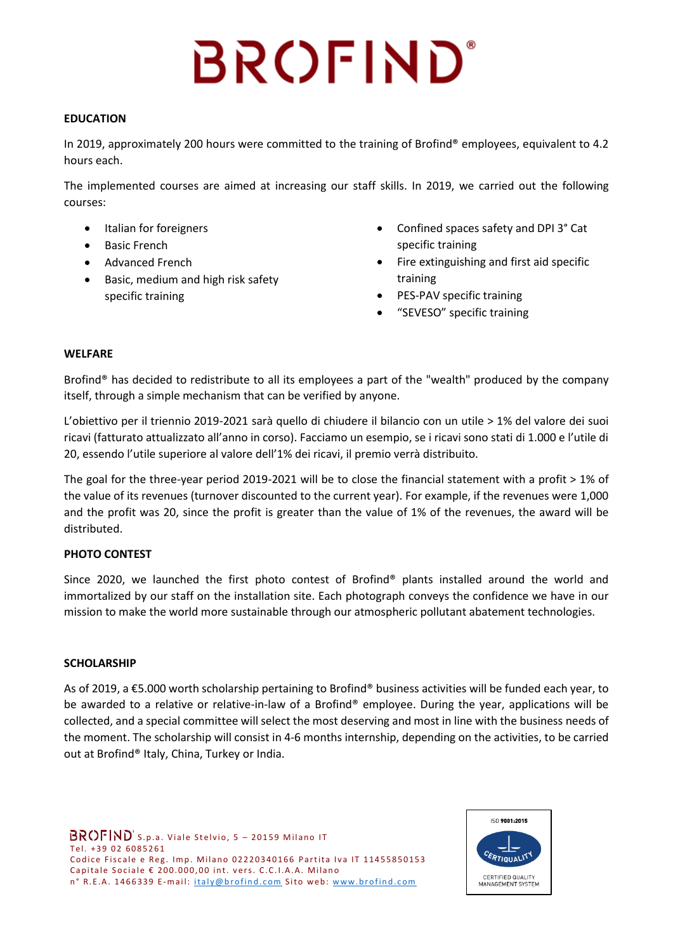### **EDUCATION**

In 2019, approximately 200 hours were committed to the training of Brofind® employees, equivalent to 4.2 hours each.

The implemented courses are aimed at increasing our staff skills. In 2019, we carried out the following courses:

- Italian for foreigners
- Basic French
- Advanced French
- Basic, medium and high risk safety specific training
- Confined spaces safety and DPI 3° Cat specific training
- Fire extinguishing and first aid specific training
- PES-PAV specific training
- "SEVESO" specific training

### **WELFARE**

Brofind® has decided to redistribute to all its employees a part of the "wealth" produced by the company itself, through a simple mechanism that can be verified by anyone.

L'obiettivo per il triennio 2019-2021 sarà quello di chiudere il bilancio con un utile > 1% del valore dei suoi ricavi (fatturato attualizzato all'anno in corso). Facciamo un esempio, se i ricavi sono stati di 1.000 e l'utile di 20, essendo l'utile superiore al valore dell'1% dei ricavi, il premio verrà distribuito.

The goal for the three-year period 2019-2021 will be to close the financial statement with a profit > 1% of the value of its revenues (turnover discounted to the current year). For example, if the revenues were 1,000 and the profit was 20, since the profit is greater than the value of 1% of the revenues, the award will be distributed.

### **PHOTO CONTEST**

Since 2020, we launched the first photo contest of Brofind® plants installed around the world and immortalized by our staff on the installation site. Each photograph conveys the confidence we have in our mission to make the world more sustainable through our atmospheric pollutant abatement technologies.

### **SCHOLARSHIP**

As of 2019, a €5.000 worth scholarship pertaining to Brofind® business activities will be funded each year, to be awarded to a relative or relative-in-law of a Brofind® employee. During the year, applications will be collected, and a special committee will select the most deserving and most in line with the business needs of the moment. The scholarship will consist in 4-6 months internship, depending on the activities, to be carried out at Brofind® Italy, China, Turkey or India.

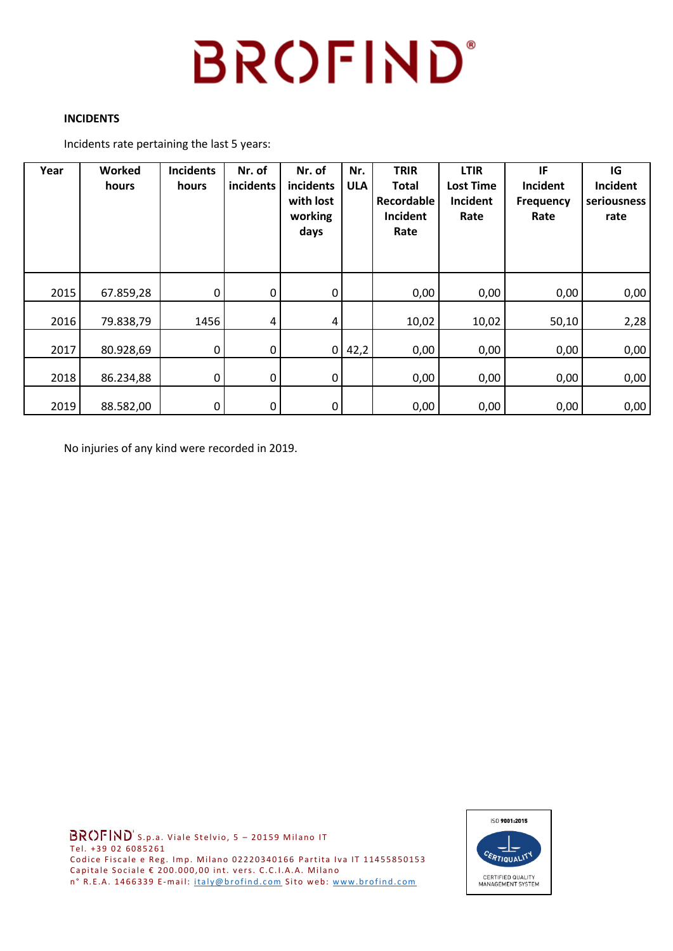### **INCIDENTS**

Incidents rate pertaining the last 5 years:

| Year | Worked<br>hours | <b>Incidents</b><br>hours | Nr. of<br>incidents | Nr. of<br>incidents<br>with lost<br>working<br>days | Nr.<br><b>ULA</b> | <b>TRIR</b><br><b>Total</b><br>Recordable<br>Incident<br>Rate | <b>LTIR</b><br><b>Lost Time</b><br>Incident<br>Rate | IF<br>Incident<br><b>Frequency</b><br>Rate | IG<br>Incident<br>seriousness<br>rate |
|------|-----------------|---------------------------|---------------------|-----------------------------------------------------|-------------------|---------------------------------------------------------------|-----------------------------------------------------|--------------------------------------------|---------------------------------------|
| 2015 | 67.859,28       | 0                         | 0                   | $\mathbf 0$                                         |                   | 0,00                                                          | 0,00                                                | 0,00                                       | 0,00                                  |
| 2016 | 79.838,79       | 1456                      | 4                   | 4                                                   |                   | 10,02                                                         | 10,02                                               | 50,10                                      | 2,28                                  |
| 2017 | 80.928,69       | 0                         | 0                   | $\overline{0}$                                      | 42,2              | 0,00                                                          | 0,00                                                | 0,00                                       | 0,00                                  |
| 2018 | 86.234,88       | 0                         | 0                   | $\overline{0}$                                      |                   | 0,00                                                          | 0,00                                                | 0,00                                       | 0,00                                  |
| 2019 | 88.582,00       | 0                         | 0                   | $\mathsf{O}$                                        |                   | 0,00                                                          | 0,00                                                | 0,00                                       | 0,00                                  |

No injuries of any kind were recorded in 2019.